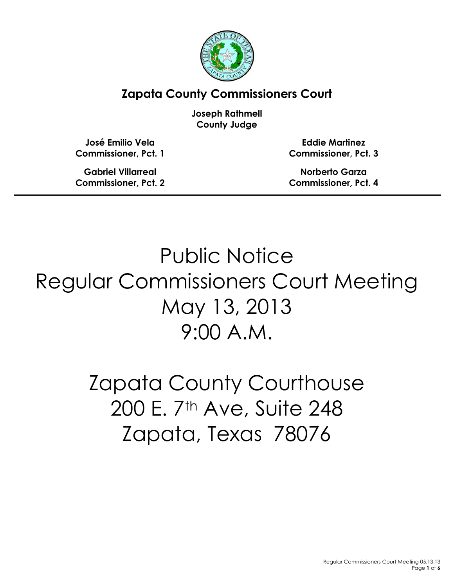

**Zapata County Commissioners Court**

**Joseph Rathmell County Judge**

**José Emilio Vela Commissioner, Pct. 1**

**Gabriel Villarreal Commissioner, Pct. 2**

**Eddie Martinez Commissioner, Pct. 3**

**Norberto Garza Commissioner, Pct. 4**

Public Notice Regular Commissioners Court Meeting May 13, 2013 9:00 A.M.

> Zapata County Courthouse 200 E. 7<sup>th</sup> Ave, Suite 248 Zapata, Texas 78076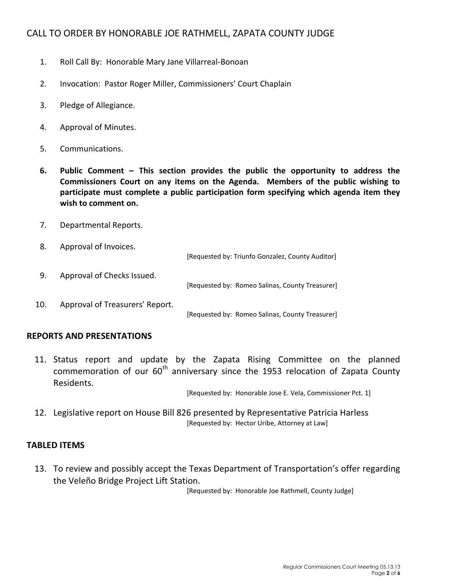# CALL TO ORDER BY HONORABLE JOE RATHMELL, ZAPATA COUNTY JUDGE

- 1. Roll Call By: Honorable Mary Jane Villarreal-Bonoan
- 2. Invocation: Pastor Roger Miller, Commissioners' Court Chaplain
- 3. Pledge of Allegiance.
- 4. Approval of Minutes.
- 5. Communications.
- **6. Public Comment – This section provides the public the opportunity to address the Commissioners Court on any items on the Agenda. Members of the public wishing to participate must complete a public participation form specifying which agenda item they wish to comment on.**
- 7. Departmental Reports.
- 8. Approval of Invoices.

[Requested by: Triunfo Gonzalez, County Auditor] 9. Approval of Checks Issued. [Requested by: Romeo Salinas, County Treasurer] 10. Approval of Treasurers' Report. [Requested by: Romeo Salinas, County Treasurer]

### **REPORTS AND PRESENTATIONS**

11. Status report and update by the Zapata Rising Committee on the planned commemoration of our  $60<sup>th</sup>$  anniversary since the 1953 relocation of Zapata County Residents.

[Requested by: Honorable Jose E. Vela, Commissioner Pct. 1]

12. Legislative report on House Bill 826 presented by Representative Patricia Harless [Requested by: Hector Uribe, Attorney at Law]

## **TABLED ITEMS**

13. To review and possibly accept the Texas Department of Transportation's offer regarding the Veleño Bridge Project Lift Station.

[Requested by: Honorable Joe Rathmell, County Judge]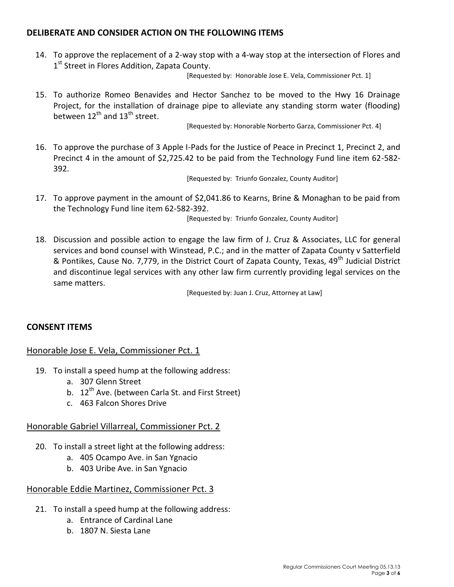## **DELIBERATE AND CONSIDER ACTION ON THE FOLLOWING ITEMS**

14. To approve the replacement of a 2-way stop with a 4-way stop at the intersection of Flores and 1<sup>st</sup> Street in Flores Addition, Zapata County.

[Requested by: Honorable Jose E. Vela, Commissioner Pct. 1]

15. To authorize Romeo Benavides and Hector Sanchez to be moved to the Hwy 16 Drainage Project, for the installation of drainage pipe to alleviate any standing storm water (flooding) between  $12^{th}$  and  $13^{th}$  street.

[Requested by: Honorable Norberto Garza, Commissioner Pct. 4]

16. To approve the purchase of 3 Apple I-Pads for the Justice of Peace in Precinct 1, Precinct 2, and Precinct 4 in the amount of \$2,725.42 to be paid from the Technology Fund line item 62-582- 392.

[Requested by: Triunfo Gonzalez, County Auditor]

17. To approve payment in the amount of \$2,041.86 to Kearns, Brine & Monaghan to be paid from the Technology Fund line item 62-582-392.

[Requested by: Triunfo Gonzalez, County Auditor]

18. Discussion and possible action to engage the law firm of J. Cruz & Associates, LLC for general services and bond counsel with Winstead, P.C.; and in the matter of Zapata County v Satterfield & Pontikes, Cause No. 7,779, in the District Court of Zapata County, Texas, 49<sup>th</sup> Judicial District and discontinue legal services with any other law firm currently providing legal services on the same matters.

[Requested by: Juan J. Cruz, Attorney at Law]

## **CONSENT ITEMS**

# Honorable Jose E. Vela, Commissioner Pct. 1

- 19. To install a speed hump at the following address:
	- a. 307 Glenn Street
	- b. 12<sup>th</sup> Ave. (between Carla St. and First Street)
	- c. 463 Falcon Shores Drive

### Honorable Gabriel Villarreal, Commissioner Pct. 2

- 20. To install a street light at the following address:
	- a. 405 Ocampo Ave. in San Ygnacio
	- b. 403 Uribe Ave. in San Ygnacio

### Honorable Eddie Martinez, Commissioner Pct. 3

- 21. To install a speed hump at the following address:
	- a. Entrance of Cardinal Lane
	- b. 1807 N. Siesta Lane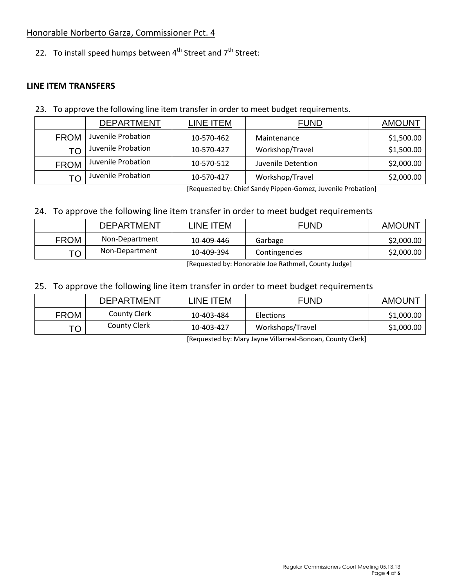# Honorable Norberto Garza, Commissioner Pct. 4

22. To install speed humps between  $4^{th}$  Street and  $7^{th}$  Street:

## **LINE ITEM TRANSFERS**

23. To approve the following line item transfer in order to meet budget requirements.

|             | <b>DEPARTMENT</b>  | LINE ITEM  | <b>FUND</b>        | <b>AMOUNT</b> |
|-------------|--------------------|------------|--------------------|---------------|
| <b>FROM</b> | Juvenile Probation | 10-570-462 | Maintenance        | \$1,500.00    |
| TΟ          | Juvenile Probation | 10-570-427 | Workshop/Travel    | \$1,500.00    |
| <b>FROM</b> | Juvenile Probation | 10-570-512 | Juvenile Detention | \$2,000.00    |
| <b>TO</b>   | Juvenile Probation | 10-570-427 | Workshop/Travel    | \$2,000.00    |

[Requested by: Chief Sandy Pippen-Gomez, Juvenile Probation]

# 24. To approve the following line item transfer in order to meet budget requirements

|             | <b>DEPARTMENT</b> | LINE ITEM  | FUND          | <b>AMOUNT</b> |
|-------------|-------------------|------------|---------------|---------------|
| <b>FROM</b> | Non-Department    | 10-409-446 | Garbage       | \$2,000.00    |
| TO          | Non-Department    | 10-409-394 | Contingencies | \$2,000.00    |

[Requested by: Honorable Joe Rathmell, County Judge]

# 25. To approve the following line item transfer in order to meet budget requirements

|             | <b>DEPARTMENT</b>   | INE ITEML  | <b>FUND</b>      | <b>AMOUNT</b> |
|-------------|---------------------|------------|------------------|---------------|
| <b>FROM</b> | <b>County Clerk</b> | 10-403-484 | <b>Elections</b> | \$1,000.00    |
| TO          | <b>County Clerk</b> | 10-403-427 | Workshops/Travel | \$1,000.00    |

[Requested by: Mary Jayne Villarreal-Bonoan, County Clerk]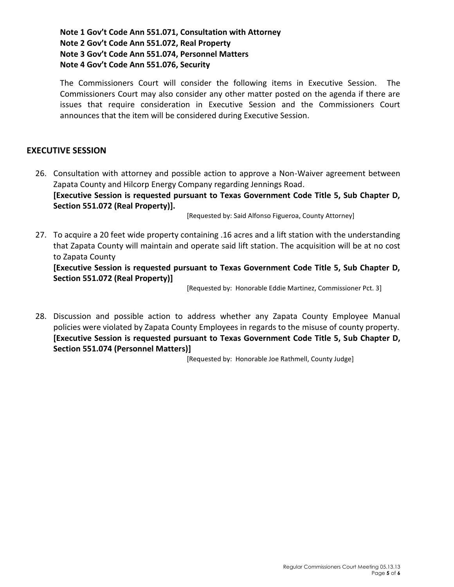**Note 1 Gov't Code Ann 551.071, Consultation with Attorney Note 2 Gov't Code Ann 551.072, Real Property Note 3 Gov't Code Ann 551.074, Personnel Matters Note 4 Gov't Code Ann 551.076, Security**

The Commissioners Court will consider the following items in Executive Session. The Commissioners Court may also consider any other matter posted on the agenda if there are issues that require consideration in Executive Session and the Commissioners Court announces that the item will be considered during Executive Session.

### **EXECUTIVE SESSION**

26. Consultation with attorney and possible action to approve a Non-Waiver agreement between Zapata County and Hilcorp Energy Company regarding Jennings Road. **[Executive Session is requested pursuant to Texas Government Code Title 5, Sub Chapter D, Section 551.072 (Real Property)].**

[Requested by: Said Alfonso Figueroa, County Attorney]

27. To acquire a 20 feet wide property containing .16 acres and a lift station with the understanding that Zapata County will maintain and operate said lift station. The acquisition will be at no cost to Zapata County

**[Executive Session is requested pursuant to Texas Government Code Title 5, Sub Chapter D, Section 551.072 (Real Property)]**

[Requested by: Honorable Eddie Martinez, Commissioner Pct. 3]

28. Discussion and possible action to address whether any Zapata County Employee Manual policies were violated by Zapata County Employees in regards to the misuse of county property. **[Executive Session is requested pursuant to Texas Government Code Title 5, Sub Chapter D, Section 551.074 (Personnel Matters)]**

[Requested by: Honorable Joe Rathmell, County Judge]